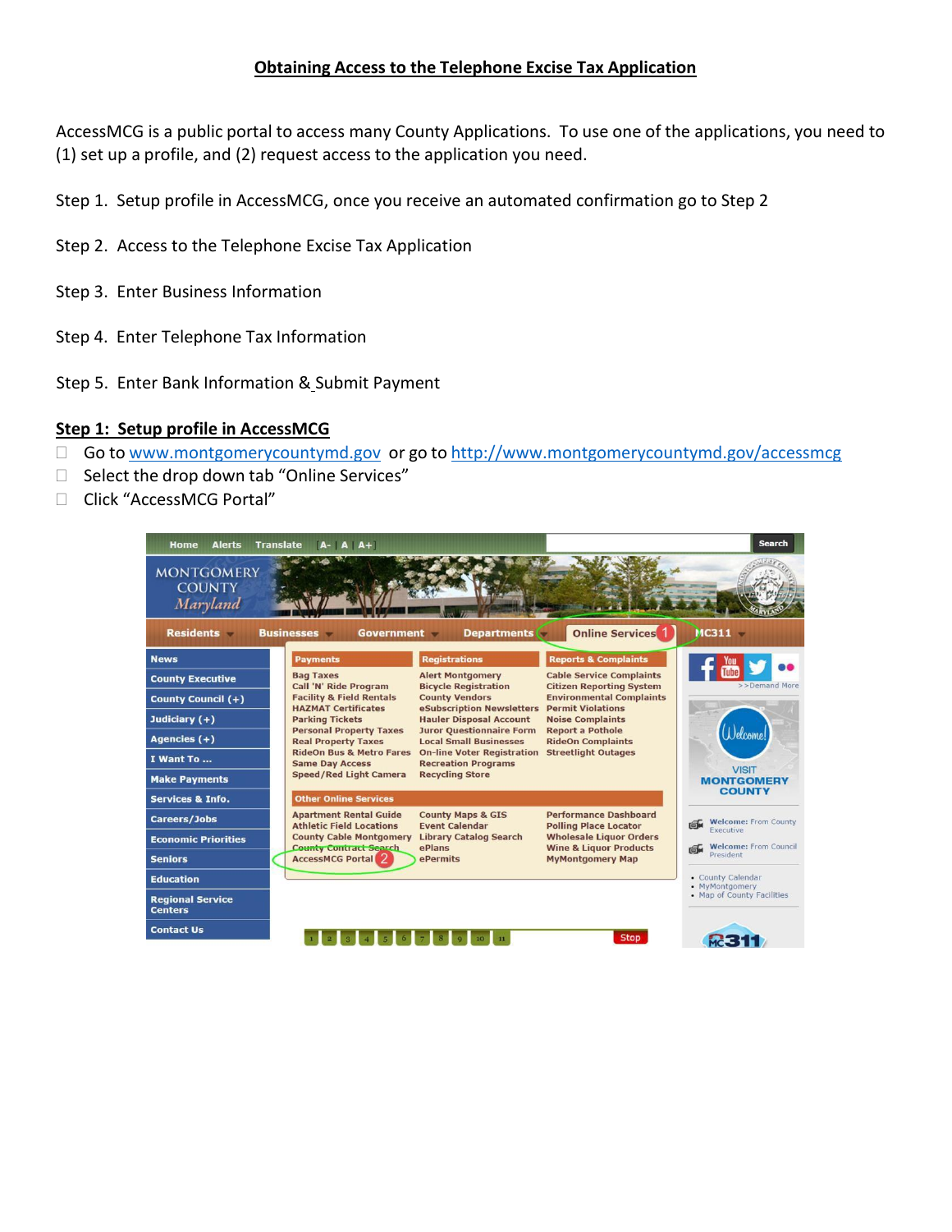## **Obtaining Access to the Telephone Excise Tax Application**

AccessMCG is a public portal to access many County Applications. To use one of the applications, you need to (1) set up a profile, and (2) request access to the application you need.

- Step 1. Setup profile in AccessMCG, once you receive an automated confirmation go to Step 2
- Step 2. Access to the Telephone Excise Tax Application
- Step 3. Enter Business Information
- Step 4. Enter Telephone Tax Information
- Step 5. Enter Bank Information & Submit Payment

#### **Step 1: Setup profile in AccessMCG**

- □ Go to [www.montgomerycountymd.gov](http://www.montgomerycountymd.gov/) or go to <http://www.montgomerycountymd.gov/accessmcg>
- $\Box$  Select the drop down tab "Online Services"
- □ Click "AccessMCG Portal"

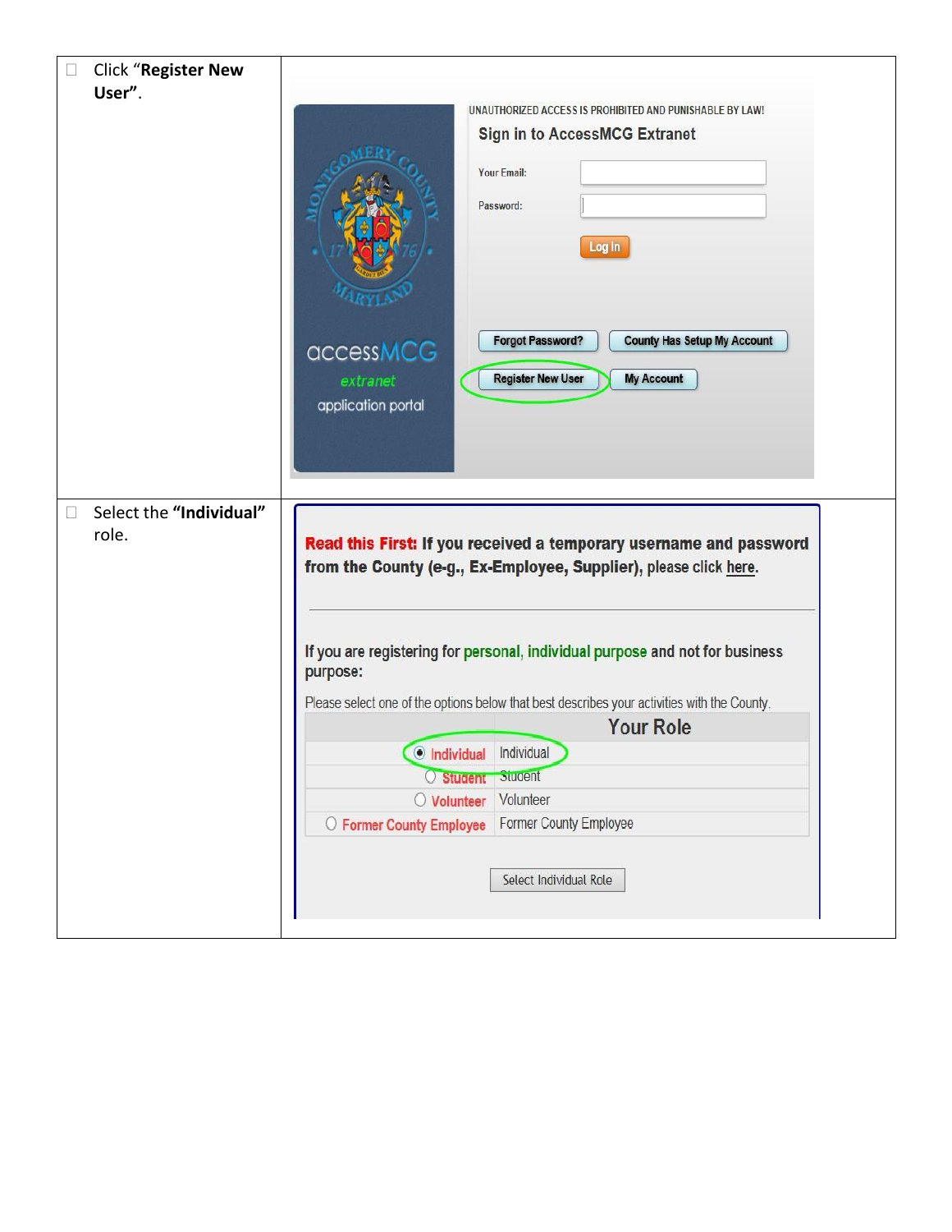| User".                  |                                                                                             |  |
|-------------------------|---------------------------------------------------------------------------------------------|--|
|                         | UNAUTHORIZED ACCESS IS PROHIBITED AND PUNISHABLE BY LAW!                                    |  |
|                         | <b>Sign in to AccessMCG Extranet</b>                                                        |  |
|                         | Your Email:                                                                                 |  |
|                         |                                                                                             |  |
|                         | Password:                                                                                   |  |
|                         | Log In                                                                                      |  |
|                         |                                                                                             |  |
|                         |                                                                                             |  |
|                         |                                                                                             |  |
|                         | <b>Forgot Password?</b><br><b>County Has Setup My Account</b><br>accessMCG                  |  |
|                         | <b>Register New User</b><br><b>My Account</b><br>extranet                                   |  |
|                         | application portal                                                                          |  |
|                         |                                                                                             |  |
|                         |                                                                                             |  |
|                         |                                                                                             |  |
| Select the "Individual" |                                                                                             |  |
| role.                   |                                                                                             |  |
|                         | Read this First: If you received a temporary username and password                          |  |
|                         | from the County (e-g., Ex-Employee, Supplier), please click here.                           |  |
|                         |                                                                                             |  |
|                         |                                                                                             |  |
|                         |                                                                                             |  |
|                         | If you are registering for personal, individual purpose and not for business                |  |
|                         | purpose:                                                                                    |  |
|                         | Please select one of the options below that best describes your activities with the County. |  |
|                         | <b>Your Role</b>                                                                            |  |
|                         | C Individual Individual                                                                     |  |
|                         | O Student Student                                                                           |  |
|                         | O Volunteer Volunteer                                                                       |  |
|                         | O Former County Employee Former County Employee                                             |  |
|                         |                                                                                             |  |
|                         | Select Individual Role                                                                      |  |
|                         |                                                                                             |  |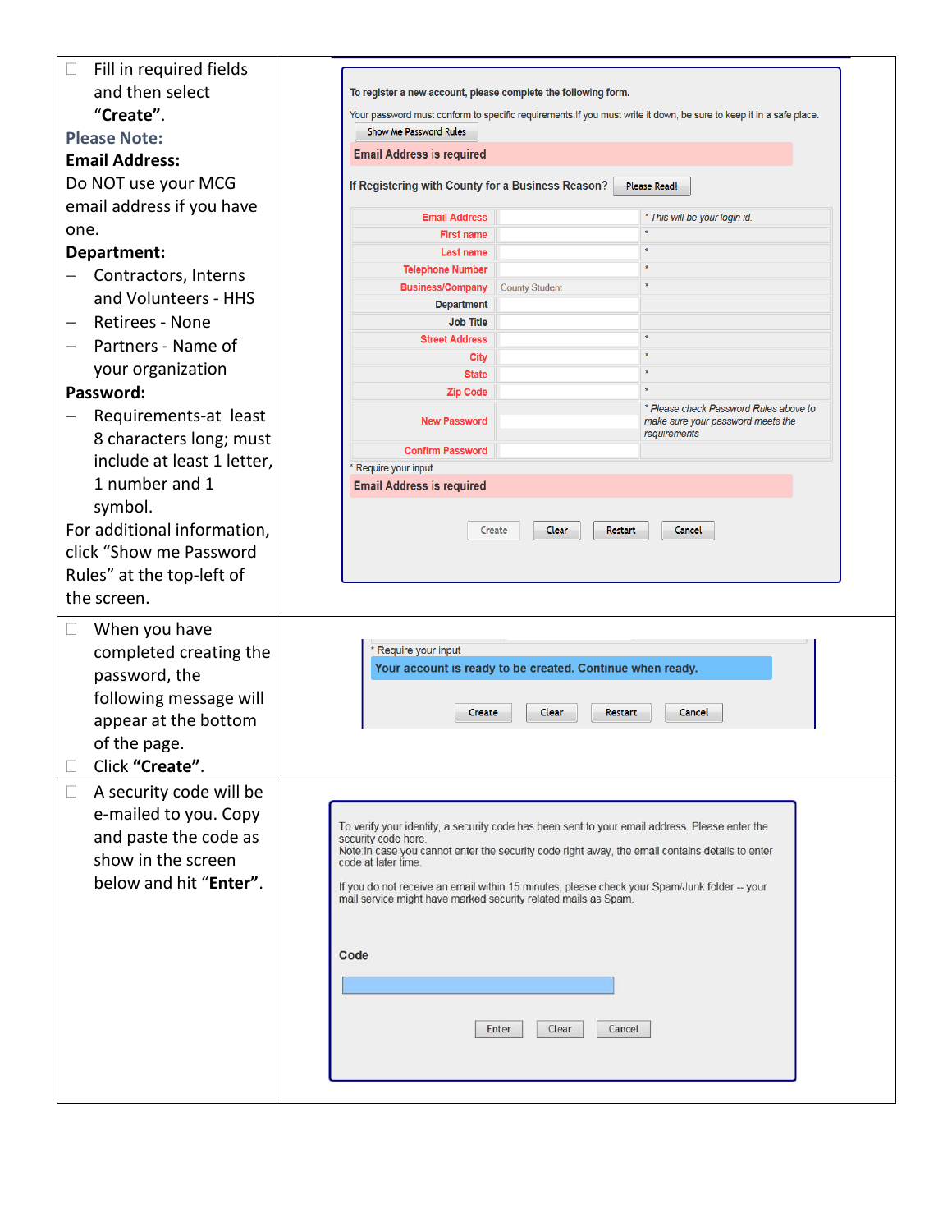| Fill in required fields<br>$\Box$ |                                                                                                                     |                                                                                                  |                                                   |  |
|-----------------------------------|---------------------------------------------------------------------------------------------------------------------|--------------------------------------------------------------------------------------------------|---------------------------------------------------|--|
| and then select                   | To register a new account, please complete the following form.                                                      |                                                                                                  |                                                   |  |
| "Create".                         | Your password must conform to specific requirements: If you must write it down, be sure to keep it in a safe place. |                                                                                                  |                                                   |  |
| <b>Please Note:</b>               | Show Me Password Rules                                                                                              |                                                                                                  |                                                   |  |
| <b>Email Address:</b>             | <b>Email Address is required</b>                                                                                    |                                                                                                  |                                                   |  |
| Do NOT use your MCG               | If Registering with County for a Business Reason?                                                                   |                                                                                                  | <b>Please Read!</b>                               |  |
| email address if you have         |                                                                                                                     |                                                                                                  |                                                   |  |
|                                   | <b>Email Address</b>                                                                                                |                                                                                                  | * This will be your login id.                     |  |
| one.                              | <b>First name</b>                                                                                                   |                                                                                                  |                                                   |  |
| Department:                       | <b>Last name</b><br><b>Telephone Number</b>                                                                         | $\pmb{\ast}$<br>$\star$                                                                          |                                                   |  |
| Contractors, Interns              | <b>Business/Company</b>                                                                                             | $\pmb{\times}$<br><b>County Student</b>                                                          |                                                   |  |
| and Volunteers - HHS              | <b>Department</b>                                                                                                   |                                                                                                  |                                                   |  |
| Retirees - None                   | <b>Job Title</b>                                                                                                    |                                                                                                  |                                                   |  |
| Partners - Name of<br>—           | <b>Street Address</b>                                                                                               | $\pmb{\ast}$                                                                                     |                                                   |  |
| your organization                 | City<br><b>State</b>                                                                                                | $\star$                                                                                          |                                                   |  |
| Password:                         | <b>Zip Code</b>                                                                                                     |                                                                                                  |                                                   |  |
| Requirements-at least             |                                                                                                                     |                                                                                                  | * Please check Password Rules above to            |  |
| 8 characters long; must           | <b>New Password</b>                                                                                                 |                                                                                                  | make sure your password meets the<br>requirements |  |
| include at least 1 letter,        | <b>Confirm Password</b>                                                                                             |                                                                                                  |                                                   |  |
|                                   | Require your input                                                                                                  |                                                                                                  |                                                   |  |
| 1 number and 1                    | <b>Email Address is required</b>                                                                                    |                                                                                                  |                                                   |  |
| symbol.                           |                                                                                                                     |                                                                                                  |                                                   |  |
| For additional information,       |                                                                                                                     | Clear<br>Restart<br>Create                                                                       | Cancel                                            |  |
| click "Show me Password           |                                                                                                                     |                                                                                                  |                                                   |  |
| Rules" at the top-left of         |                                                                                                                     |                                                                                                  |                                                   |  |
| the screen.                       |                                                                                                                     |                                                                                                  |                                                   |  |
| When you have<br>$\Box$           |                                                                                                                     |                                                                                                  |                                                   |  |
|                                   | * Require your input                                                                                                |                                                                                                  |                                                   |  |
| completed creating the            |                                                                                                                     | Your account is ready to be created. Continue when ready.                                        |                                                   |  |
| password, the                     |                                                                                                                     |                                                                                                  |                                                   |  |
| following message will            | Create                                                                                                              | Clear<br><b>Restart</b>                                                                          | Cancel                                            |  |
| appear at the bottom              |                                                                                                                     |                                                                                                  |                                                   |  |
| of the page.                      |                                                                                                                     |                                                                                                  |                                                   |  |
| Click "Create".                   |                                                                                                                     |                                                                                                  |                                                   |  |
| A security code will be<br>$\Box$ |                                                                                                                     |                                                                                                  |                                                   |  |
| e-mailed to you. Copy             |                                                                                                                     |                                                                                                  |                                                   |  |
| and paste the code as             | security code here.                                                                                                 | To verify your identity, a security code has been sent to your email address. Please enter the   |                                                   |  |
| show in the screen                |                                                                                                                     | Note: In case you cannot enter the security code right away, the email contains details to enter |                                                   |  |
| below and hit "Enter".            | code at later time.                                                                                                 |                                                                                                  |                                                   |  |
|                                   | mail service might have marked security related mails as Spam.                                                      | If you do not receive an email within 15 minutes, please check your Spam/Junk folder -- your     |                                                   |  |
|                                   |                                                                                                                     |                                                                                                  |                                                   |  |
|                                   |                                                                                                                     |                                                                                                  |                                                   |  |
|                                   | Code                                                                                                                |                                                                                                  |                                                   |  |
|                                   |                                                                                                                     |                                                                                                  |                                                   |  |
|                                   |                                                                                                                     |                                                                                                  |                                                   |  |
|                                   |                                                                                                                     | Clear<br>Cancel<br>Enter                                                                         |                                                   |  |
|                                   |                                                                                                                     |                                                                                                  |                                                   |  |
|                                   |                                                                                                                     |                                                                                                  |                                                   |  |
|                                   |                                                                                                                     |                                                                                                  |                                                   |  |
|                                   |                                                                                                                     |                                                                                                  |                                                   |  |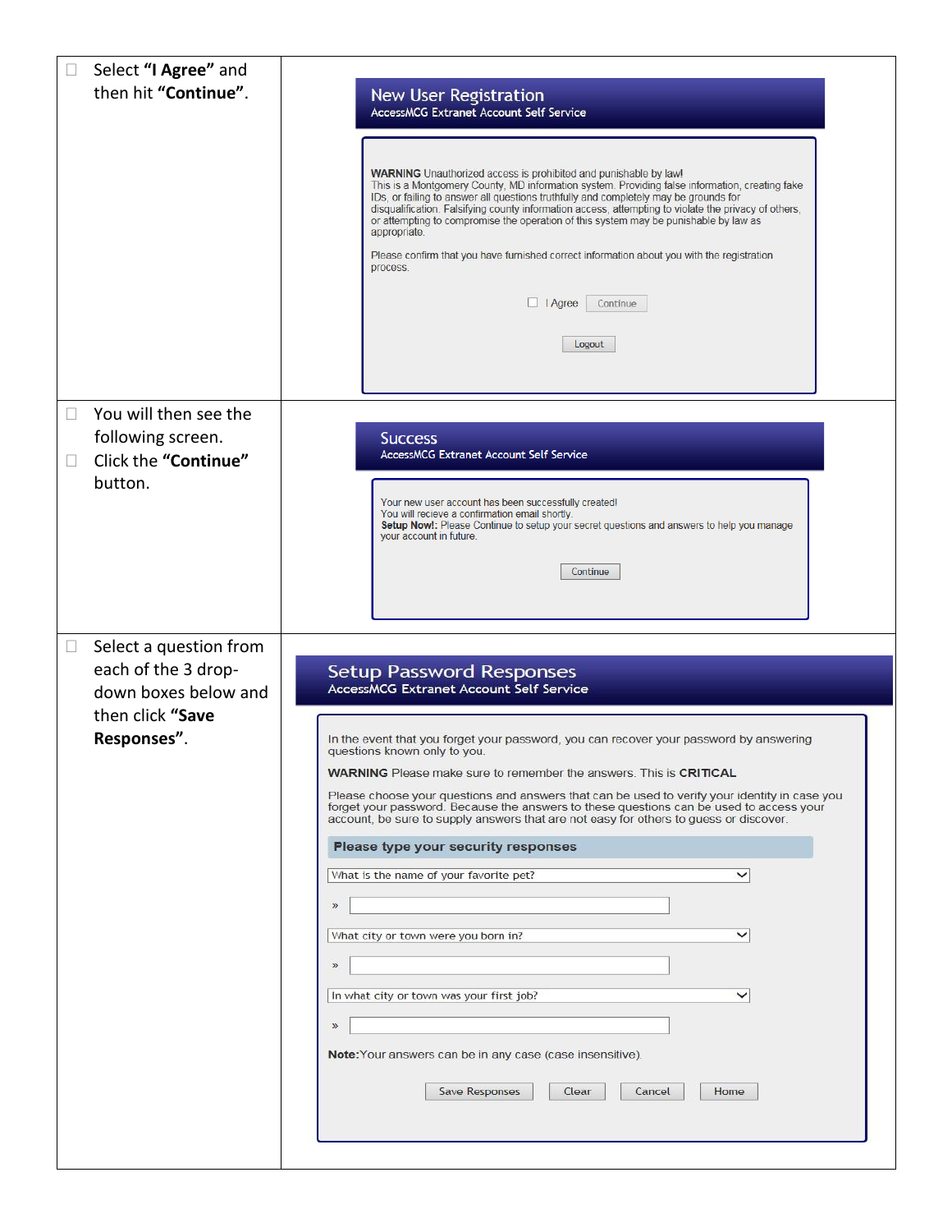| Select "I Agree" and<br>then hit "Continue".            | <b>New User Registration</b><br>AccessMCG Extranet Account Self Service<br><b>WARNING</b> Unauthorized access is prohibited and punishable by law!<br>This is a Montgomery County, MD information system. Providing false information, creating fake<br>IDs, or failing to answer all questions truthfully and completely may be grounds for<br>disqualification. Falsifying county information access, attempting to violate the privacy of others,<br>or attempting to compromise the operation of this system may be punishable by law as<br>appropriate.<br>Please confirm that you have furnished correct information about you with the registration<br>process.<br>$\Box$   Agree<br>Continue<br>Logout |
|---------------------------------------------------------|----------------------------------------------------------------------------------------------------------------------------------------------------------------------------------------------------------------------------------------------------------------------------------------------------------------------------------------------------------------------------------------------------------------------------------------------------------------------------------------------------------------------------------------------------------------------------------------------------------------------------------------------------------------------------------------------------------------|
| You will then see the<br>$\Box$<br>following screen.    | <b>Success</b>                                                                                                                                                                                                                                                                                                                                                                                                                                                                                                                                                                                                                                                                                                 |
| Click the "Continue"<br>$\Box$                          | <b>AccessMCG Extranet Account Self Service</b>                                                                                                                                                                                                                                                                                                                                                                                                                                                                                                                                                                                                                                                                 |
| button.                                                 | Your new user account has been successfully created!<br>You will recieve a confirmation email shortly.<br>Setup Now!: Please Continue to setup your secret questions and answers to help you manage<br>your account in future.<br>Continue                                                                                                                                                                                                                                                                                                                                                                                                                                                                     |
| Select a question from<br>$\Box$<br>each of the 3 drop- | <b>Setup Password Responses</b>                                                                                                                                                                                                                                                                                                                                                                                                                                                                                                                                                                                                                                                                                |
| down boxes below and<br>then click "Save                | <b>AccessMCG Extranet Account Self Service</b>                                                                                                                                                                                                                                                                                                                                                                                                                                                                                                                                                                                                                                                                 |
| Responses".                                             | In the event that you forget your password, you can recover your password by answering<br>questions known only to you.                                                                                                                                                                                                                                                                                                                                                                                                                                                                                                                                                                                         |
|                                                         | <b>WARNING</b> Please make sure to remember the answers. This is <b>CRITICAL</b><br>Please choose your questions and answers that can be used to verify your identity in case you<br>forget your password. Because the answers to these questions can be used to access your<br>account, be sure to supply answers that are not easy for others to guess or discover.                                                                                                                                                                                                                                                                                                                                          |
|                                                         | Please type your security responses                                                                                                                                                                                                                                                                                                                                                                                                                                                                                                                                                                                                                                                                            |
|                                                         | What is the name of your favorite pet?<br>$\check{ }$                                                                                                                                                                                                                                                                                                                                                                                                                                                                                                                                                                                                                                                          |
|                                                         | What city or town were you born in?<br>$\check{ }$                                                                                                                                                                                                                                                                                                                                                                                                                                                                                                                                                                                                                                                             |
|                                                         | $\mathcal{D}$                                                                                                                                                                                                                                                                                                                                                                                                                                                                                                                                                                                                                                                                                                  |
|                                                         | In what city or town was your first job?<br>$\check{ }$                                                                                                                                                                                                                                                                                                                                                                                                                                                                                                                                                                                                                                                        |
|                                                         | $\mathcal{D}$<br>Note: Your answers can be in any case (case insensitive).                                                                                                                                                                                                                                                                                                                                                                                                                                                                                                                                                                                                                                     |
|                                                         | Save Responses<br>Clear<br>Cancel<br>Home                                                                                                                                                                                                                                                                                                                                                                                                                                                                                                                                                                                                                                                                      |
|                                                         |                                                                                                                                                                                                                                                                                                                                                                                                                                                                                                                                                                                                                                                                                                                |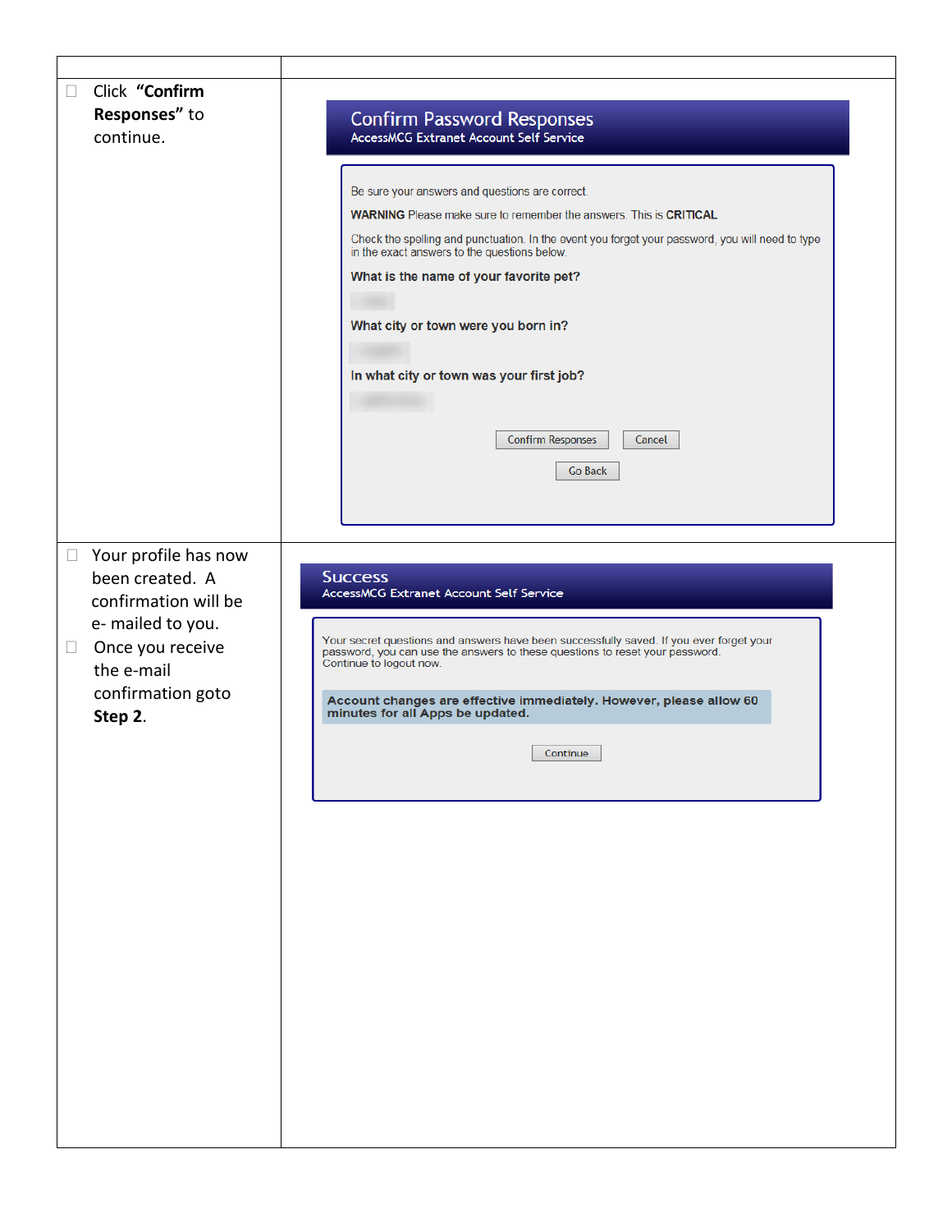| Click "Confirm<br>П<br>Responses" to |                                         | <b>Confirm Password Responses</b>                                                                                                                                       |
|--------------------------------------|-----------------------------------------|-------------------------------------------------------------------------------------------------------------------------------------------------------------------------|
|                                      | continue.                               | AccessMCG Extranet Account Self Service                                                                                                                                 |
|                                      |                                         |                                                                                                                                                                         |
|                                      |                                         | Be sure your answers and questions are correct.                                                                                                                         |
|                                      |                                         | <b>WARNING</b> Please make sure to remember the answers. This is <b>CRITICAL</b>                                                                                        |
|                                      |                                         | Check the spelling and punctuation. In the event you forget your password, you will need to type<br>in the exact answers to the questions below.                        |
|                                      |                                         | What is the name of your favorite pet?                                                                                                                                  |
|                                      |                                         |                                                                                                                                                                         |
|                                      |                                         | What city or town were you born in?                                                                                                                                     |
|                                      |                                         |                                                                                                                                                                         |
|                                      |                                         | In what city or town was your first job?                                                                                                                                |
|                                      |                                         |                                                                                                                                                                         |
|                                      |                                         |                                                                                                                                                                         |
|                                      |                                         | <b>Confirm Responses</b><br>Cancel                                                                                                                                      |
|                                      |                                         | <b>Go Back</b>                                                                                                                                                          |
|                                      |                                         |                                                                                                                                                                         |
|                                      |                                         |                                                                                                                                                                         |
|                                      |                                         |                                                                                                                                                                         |
| $\Box$                               | Your profile has now                    |                                                                                                                                                                         |
|                                      | been created. A<br>confirmation will be | <b>Success</b><br><b>AccessMCG Extranet Account Self Service</b>                                                                                                        |
|                                      | e- mailed to you.                       |                                                                                                                                                                         |
| $\Box$                               | Once you receive                        | Your secret questions and answers have been successfully saved. If you ever forget your<br>password, you can use the answers to these questions to reset your password. |
|                                      | the e-mail                              | Continue to logout now.                                                                                                                                                 |
|                                      | confirmation goto                       | Account changes are effective immediately. However, please allow 60                                                                                                     |
|                                      | Step 2.                                 | minutes for all Apps be updated.                                                                                                                                        |
|                                      |                                         | Continue                                                                                                                                                                |
|                                      |                                         |                                                                                                                                                                         |
|                                      |                                         |                                                                                                                                                                         |
|                                      |                                         |                                                                                                                                                                         |
|                                      |                                         |                                                                                                                                                                         |
|                                      |                                         |                                                                                                                                                                         |
|                                      |                                         |                                                                                                                                                                         |
|                                      |                                         |                                                                                                                                                                         |
|                                      |                                         |                                                                                                                                                                         |
|                                      |                                         |                                                                                                                                                                         |
|                                      |                                         |                                                                                                                                                                         |
|                                      |                                         |                                                                                                                                                                         |
|                                      |                                         |                                                                                                                                                                         |
|                                      |                                         |                                                                                                                                                                         |
|                                      |                                         |                                                                                                                                                                         |
|                                      |                                         |                                                                                                                                                                         |
|                                      |                                         |                                                                                                                                                                         |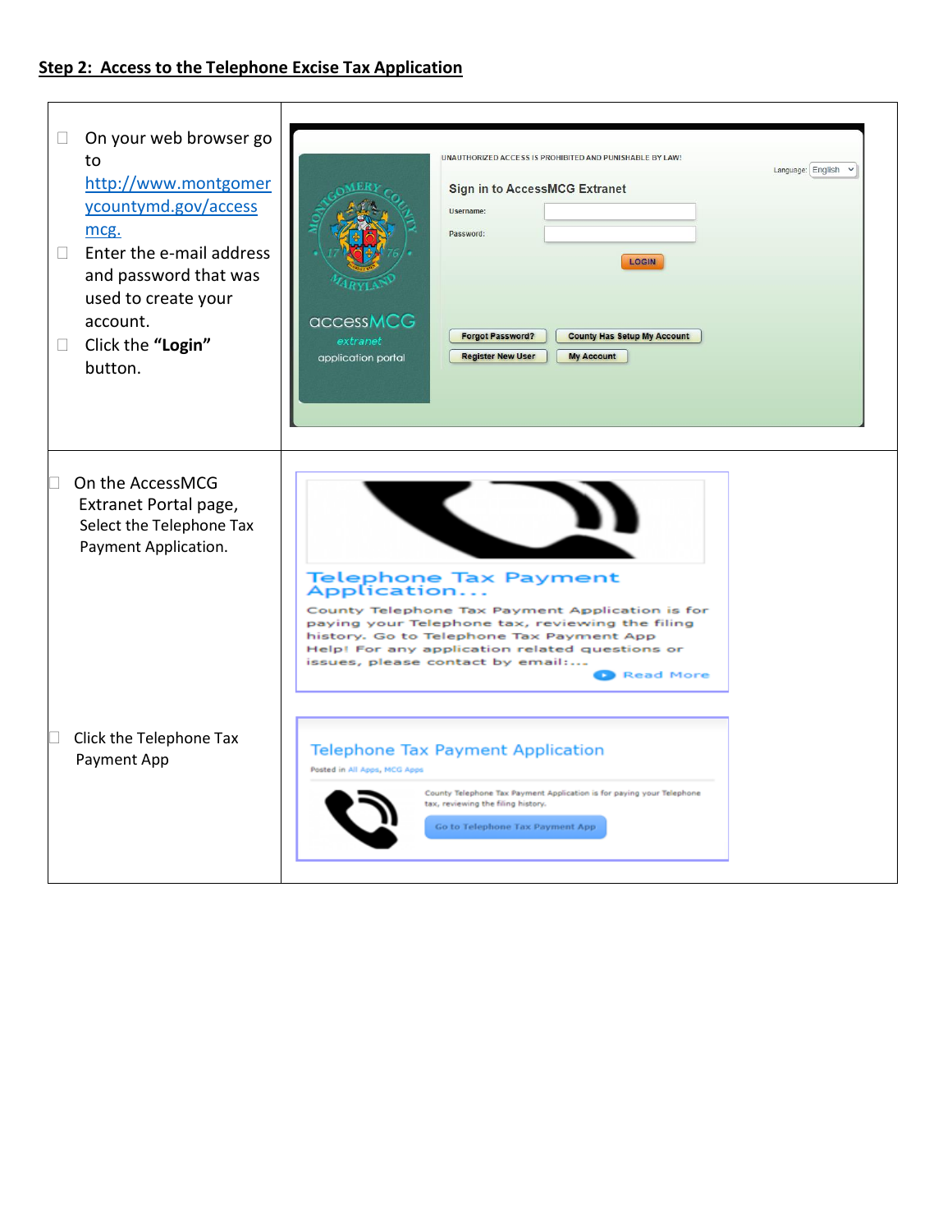## **Step 2: Access to the Telephone Excise Tax Application**

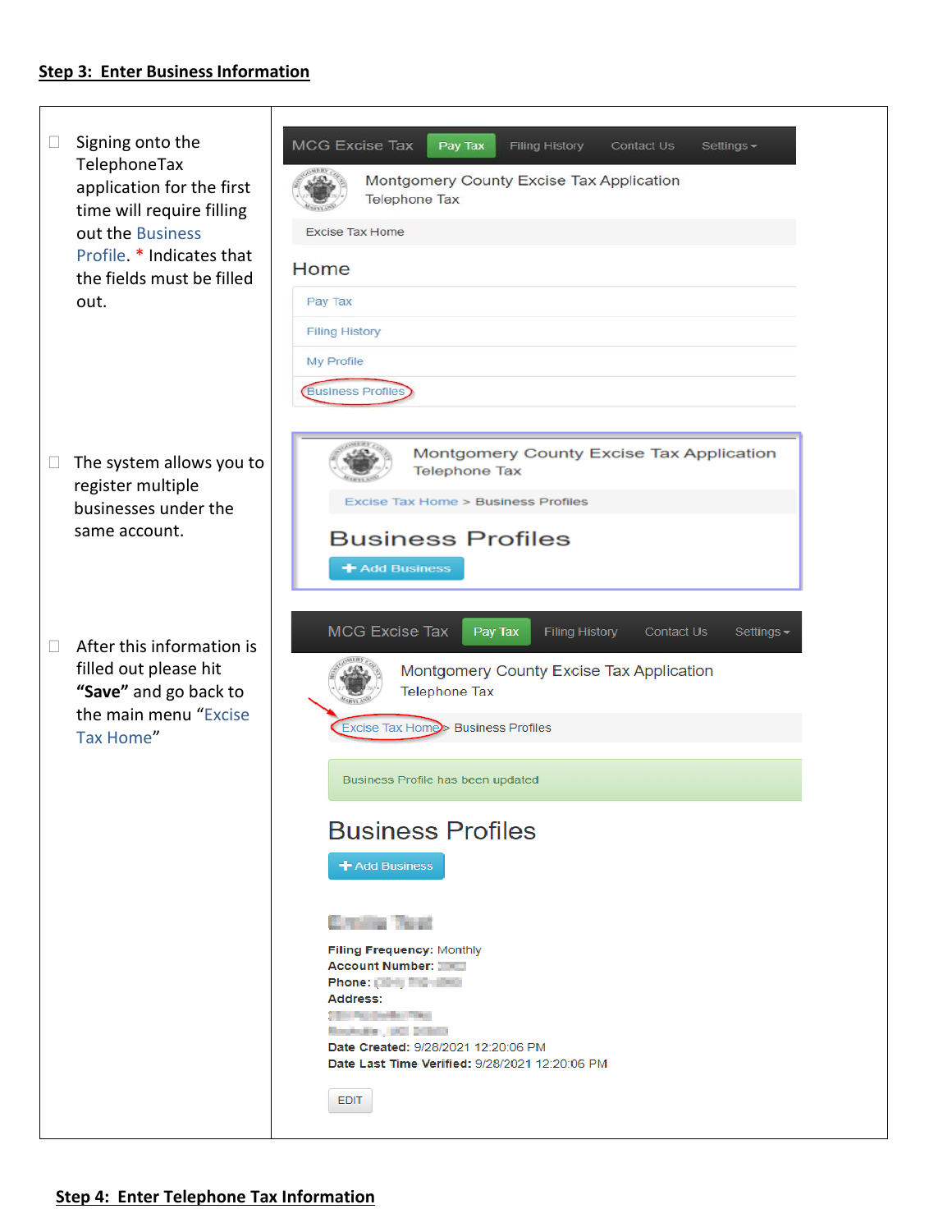#### **Step 3: Enter Business Information**

 $\Box$  Signing onto the MCG Excise Tax Pay Tax Filing History Contact Us Settings -TelephoneTax Montgomery County Excise Tax Application application for the first **Telephone Tax** time will require filling out the Business Excise Tax Home Profile. \* Indicates that Home the fields must be filled out. Pay Tax **Filing History** My Profile **Business Profiles** Montgomery County Excise Tax Application  $\Box$  The system allows you to **Telephone Tax**  register multiple Excise Tax Home > Business Profiles businesses under the same account. **Business Profiles** + Add Business MCG Excise Tax Pay Tax **Filing History** Contact Us Settings - $\Box$  After this information is filled out please hit Montgomery County Excise Tax Application **Telephone Tax "Save"** and go back to the main menu "Excise Excise Tax Home > Business Profiles Tax Home" Business Profile has been updated **Business Profiles** + Add Business **Croin Test** Filing Frequency: Monthly **Account Number: 2002** Phone: [19] The almost Address: **TEL: No Defector Plaza** Resturies, 60 2000 Date Created: 9/28/2021 12:20:06 PM Date Last Time Verified: 9/28/2021 12:20:06 PM EDIT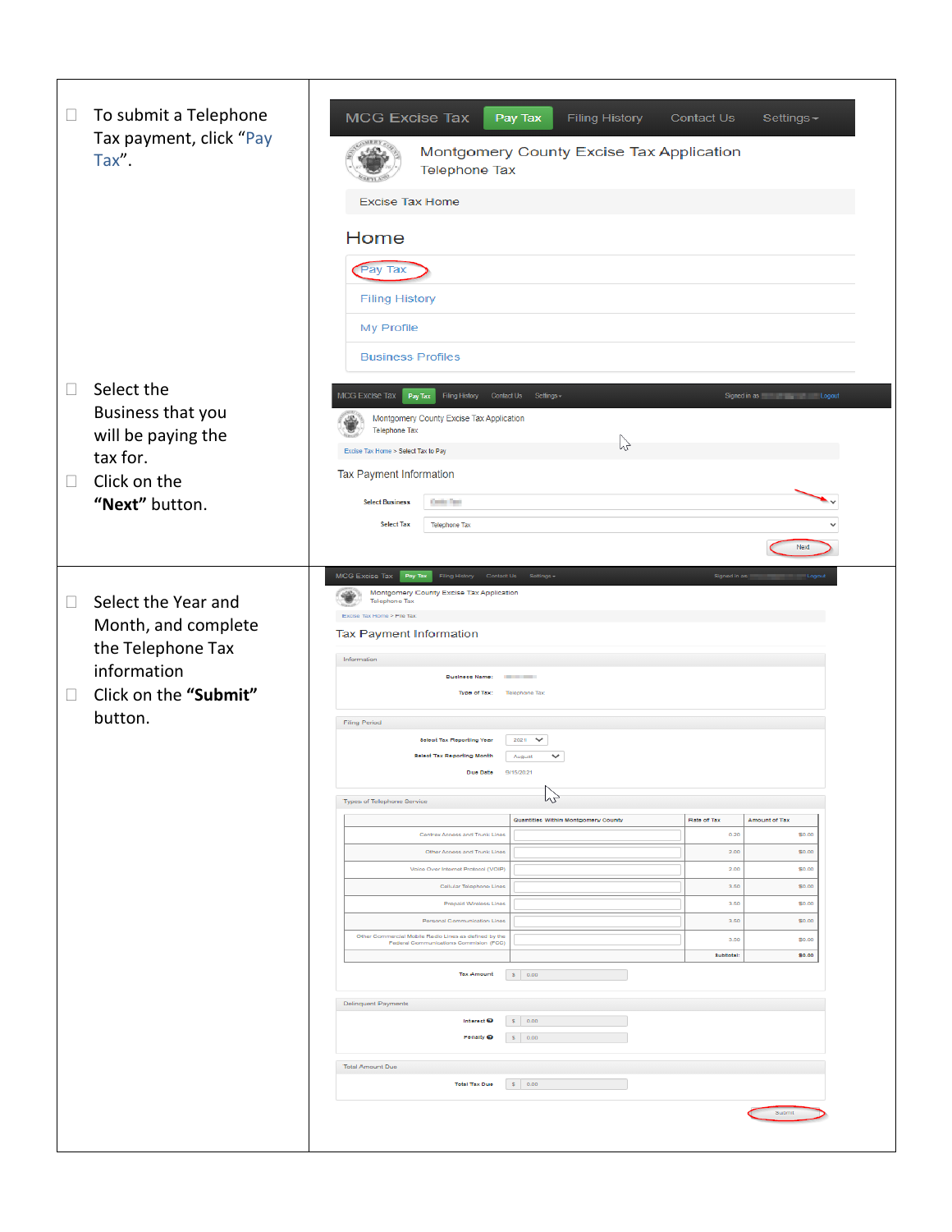| $\Box$<br>To submit a Telephone<br>Tax payment, click "Pay<br>Tax".                                                                    | <b>MCG Excise Tax</b><br>Filing History<br>Pay Tax<br>Contact Us<br>Settings-<br>Montgomery County Excise Tax Application<br><b>Telephone Tax</b><br><b>Excise Tax Home</b><br>Home<br>Pay Tax<br><b>Filing History</b><br>My Profile                                                                                                                                                                                                                                                                                                                                                                                                                                                                                                                                                                                                                                                                                                                                                                                                                                                  |
|----------------------------------------------------------------------------------------------------------------------------------------|----------------------------------------------------------------------------------------------------------------------------------------------------------------------------------------------------------------------------------------------------------------------------------------------------------------------------------------------------------------------------------------------------------------------------------------------------------------------------------------------------------------------------------------------------------------------------------------------------------------------------------------------------------------------------------------------------------------------------------------------------------------------------------------------------------------------------------------------------------------------------------------------------------------------------------------------------------------------------------------------------------------------------------------------------------------------------------------|
| Select the<br>$\Box$<br>Business that you<br>will be paying the<br>tax for.<br>Click on the<br>$\Box$<br>"Next" button.                | <b>Business Profiles</b><br>MCG Excise Tax Pay Tax<br>Filing History Contact Us Settings -<br>Signed in as <b>Example 2018</b> Logout<br>Montgomery County Excise Tax Application<br><b>Telephone Tax</b><br>$\heartsuit$<br>Excise Tax Home > Select Tax to Pay<br>Tax Payment Information<br>Controller<br><b>Select Business</b><br><b>Select Tax</b><br><b>Telephone Tax</b><br>Next                                                                                                                                                                                                                                                                                                                                                                                                                                                                                                                                                                                                                                                                                               |
| Select the Year and<br>$\Box$<br>Month, and complete<br>the Telephone Tax<br>information<br>Click on the "Submit"<br>$\Box$<br>button. | MCG Excise Tax Pay Tax Fling History<br>Contact Us<br>Signed in as<br>Montgomery County Excise Tax Application<br><b>Telephone Tax</b><br>Excise Tax Home > File Tax<br><b>Tax Payment Information</b><br>Information<br><b>Business Name:</b><br><b>Contract Contract</b><br>Type of Tax:<br>Telephone Tax<br>Filing Period<br>2021 $\vee$<br><b>Select Tax Reporting Year</b><br><b>Select Tax Reporting Month</b><br>$\checkmark$<br>August<br>9/15/2021<br>Due Date<br>WZ<br>Types of Telephone Service<br>Quantities Within Montgomery County<br>Rate of Tax<br><b>Amount of Tax</b><br>\$0.00<br>Centrex Access and Trunk Lines<br>0.20<br>2.00<br>\$0.00<br>Other Access and Trunk Lines<br>Voice Over Internet Protocol (VOIP)<br>2.00<br>\$0.00<br>Cellular Telephone Lines<br>3.50<br>\$0.00<br>Prepaid Wireless Lines<br>3.50<br>\$0.00<br>Personal Communication Lines<br>3.50<br>\$0.00<br>Other Commercial Mobile Radio Lines as defined by the<br>3.50<br>\$0.00<br>Federal Communications Commision (FCC)<br><b>Subfotal:</b><br>80.00<br><b>Tax Amount</b><br>\$ 0.00 |
|                                                                                                                                        | Delinquent Payments<br>\$ 0.00<br>Interest <sup>Q</sup><br>Penalty O<br>\$ 0.00<br><b>Total Amount Due</b><br><b>Total Tax Due</b><br>\$ 0.00                                                                                                                                                                                                                                                                                                                                                                                                                                                                                                                                                                                                                                                                                                                                                                                                                                                                                                                                          |